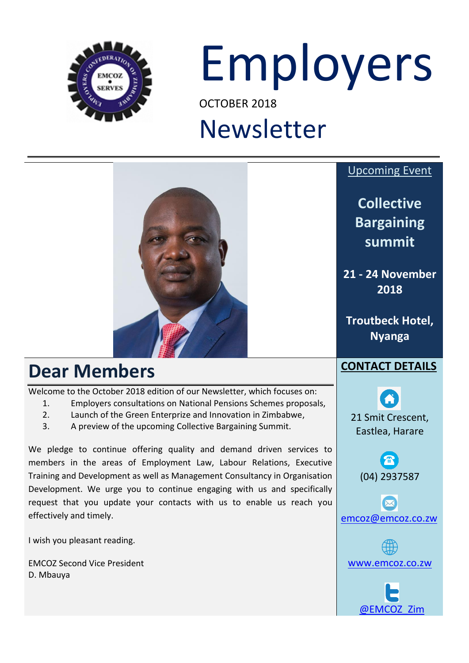

# Employers

OCTOBER 2018

## Newsletter

## **Dear Members**

Welcome to the October 2018 edition of our Newsletter, which focuses on:

- 1. Employers consultations on National Pensions Schemes proposals,
- 2. Launch of the Green Enterprize and Innovation in Zimbabwe,
- 3. A preview of the upcoming Collective Bargaining Summit.

We pledge to continue offering quality and demand driven services to members in the areas of Employment Law, Labour Relations, Executive Training and Development as well as Management Consultancy in Organisation Development. We urge you to continue engaging with us and specifically request that you update your contacts with us to enable us reach you effectively and timely.

I wish you pleasant reading.

EMCOZ Second Vice President D. Mbauya

#### Upcoming Event

**Collective Bargaining summit**

**21 - 24 November 2018**

**Troutbeck Hotel, Nyanga**

### **CONTACT DETAILS**

21 Smit Crescent, Eastlea, Harare

(04) 2937587

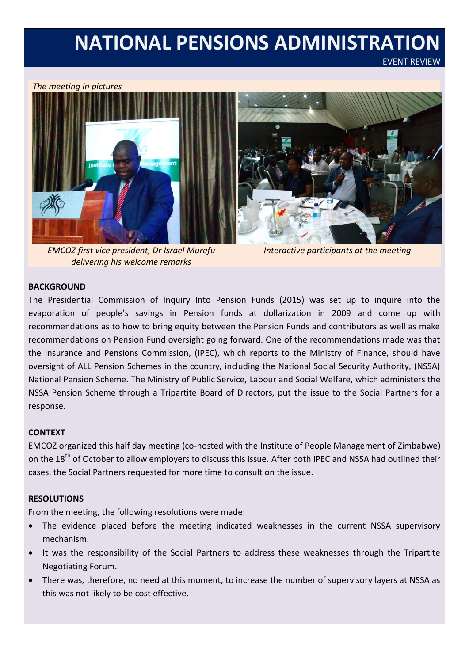## **NATIONAL PENSIONS ADMINISTRATION**

EVENT REVIEW

#### *The meeting in pictures*



*EMCOZ first vice president, Dr Israel Murefu delivering his welcome remarks* 

*Interactive participants at the meeting*

#### **BACKGROUND**

The Presidential Commission of Inquiry Into Pension Funds (2015) was set up to inquire into the evaporation of people's savings in Pension funds at dollarization in 2009 and come up with recommendations as to how to bring equity between the Pension Funds and contributors as well as make recommendations on Pension Fund oversight going forward. One of the recommendations made was that the Insurance and Pensions Commission, (IPEC), which reports to the Ministry of Finance, should have oversight of ALL Pension Schemes in the country, including the National Social Security Authority, (NSSA) National Pension Scheme. The Ministry of Public Service, Labour and Social Welfare, which administers the NSSA Pension Scheme through a Tripartite Board of Directors, put the issue to the Social Partners for a response.

#### **CONTEXT**

EMCOZ organized this half day meeting (co-hosted with the Institute of People Management of Zimbabwe) on the 18<sup>th</sup> of October to allow employers to discuss this issue. After both IPEC and NSSA had outlined their cases, the Social Partners requested for more time to consult on the issue.

#### **RESOLUTIONS**

From the meeting, the following resolutions were made:

- The evidence placed before the meeting indicated weaknesses in the current NSSA supervisory mechanism.
- It was the responsibility of the Social Partners to address these weaknesses through the Tripartite Negotiating Forum.
- There was, therefore, no need at this moment, to increase the number of supervisory layers at NSSA as this was not likely to be cost effective.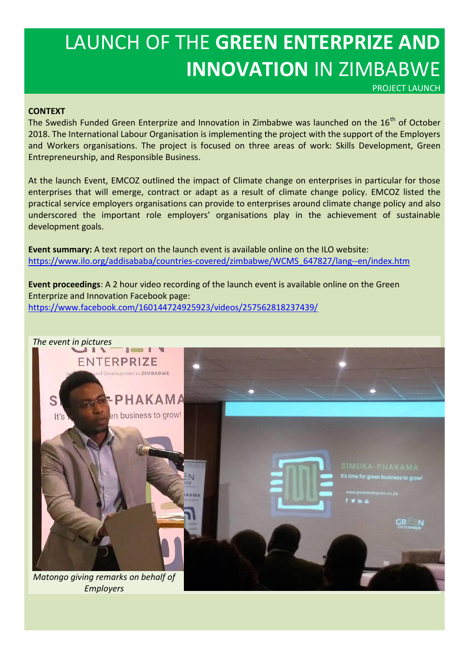## LAUNCH OF THE **GREEN ENTERPRIZE AND INNOVATION** IN ZIMBABWE

PROJECT LAUNCH

#### **CONTEXT**

The Swedish Funded Green Enterprize and Innovation in Zimbabwe was launched on the 16<sup>th</sup> of October 2018. The International Labour Organisation is implementing the project with the support of the Employers and Workers organisations. The project is focused on three areas of work: Skills Development, Green Entrepreneurship, and Responsible Business.

At the launch Event, EMCOZ outlined the impact of Climate change on enterprises in particular for those enterprises that will emerge, contract or adapt as a result of climate change policy. EMCOZ listed the practical service employers organisations can provide to enterprises around climate change policy and also underscored the important role employers' organisations play in the achievement of sustainable development goals.

**Event summary:** A text report on the launch event is available online on the ILO website: [https://www.ilo.org/addisababa/countries-covered/zimbabwe/WCMS\\_647827/lang--en/index.htm](https://www.ilo.org/addisababa/countries-covered/zimbabwe/WCMS_647827/lang--en/index.htm)

**Event proceedings**: A 2 hour video recording of the launch event is available online on the Green Enterprize and Innovation Facebook page: <https://www.facebook.com/160144724925923/videos/257562818237439/>